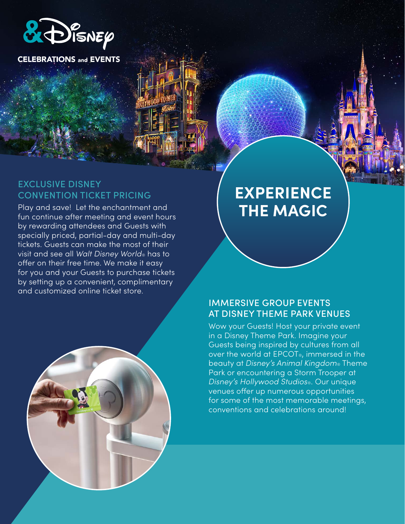

**CELEBRATIONS and EVENTS** 

#### EXCLUSIVE DISNEY CONVENTION TICKET PRICING

Play and save! Let the enchantment and fun continue after meeting and event hours by rewarding attendees and Guests with specially priced, partial-day and multi-day tickets. Guests can make the most of their visit and see all *Walt Disney World*® has to offer on their free time. We make it easy for you and your Guests to purchase tickets by setting up a convenient, complimentary and customized online ticket store.



# **EXPERIENCE THE MAGIC**

# IMMERSIVE GROUP EVENTS AT DISNEY THEME PARK VENUES

Wow your Guests! Host your private event in a Disney Theme Park. Imagine your Guests being inspired by cultures from all over the world at EPCOT®, immersed in the beauty at *Disney's Animal Kingdom*® Theme Park or encountering a Storm Trooper at *Disney's Hollywood Studios*®. Our unique venues offer up numerous opportunities for some of the most memorable meetings, conventions and celebrations around!